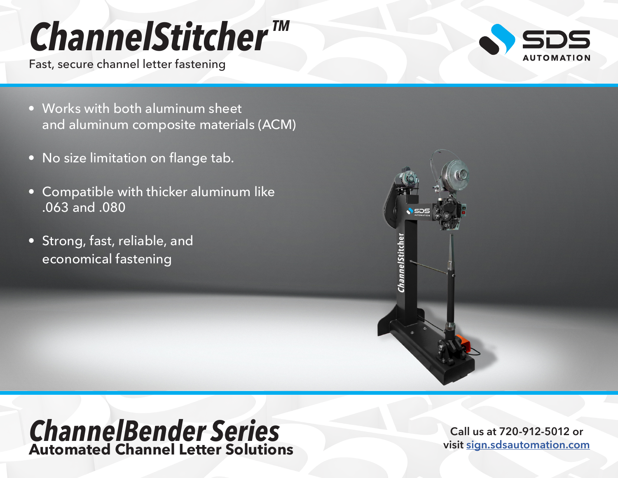# *ChannelStitcher TM*

Fast, secure channel letter fastening



- Works with both aluminum sheet and aluminum composite materials (ACM)
- No size limitation on flange tab.
- Compatible with thicker aluminum like .063 and .080
- Strong, fast, reliable, and economical fastening



### *ChannelBender Series* **Automated Channel Letter Solutions**

**Call us at 720-912-5012 or visit [sign.sdsautomation.com](https://sign.sdsautomation.com/?utm_source=PDF+Spec+Sheets&utm_medium=PDF&utm_campaign=Literature)**